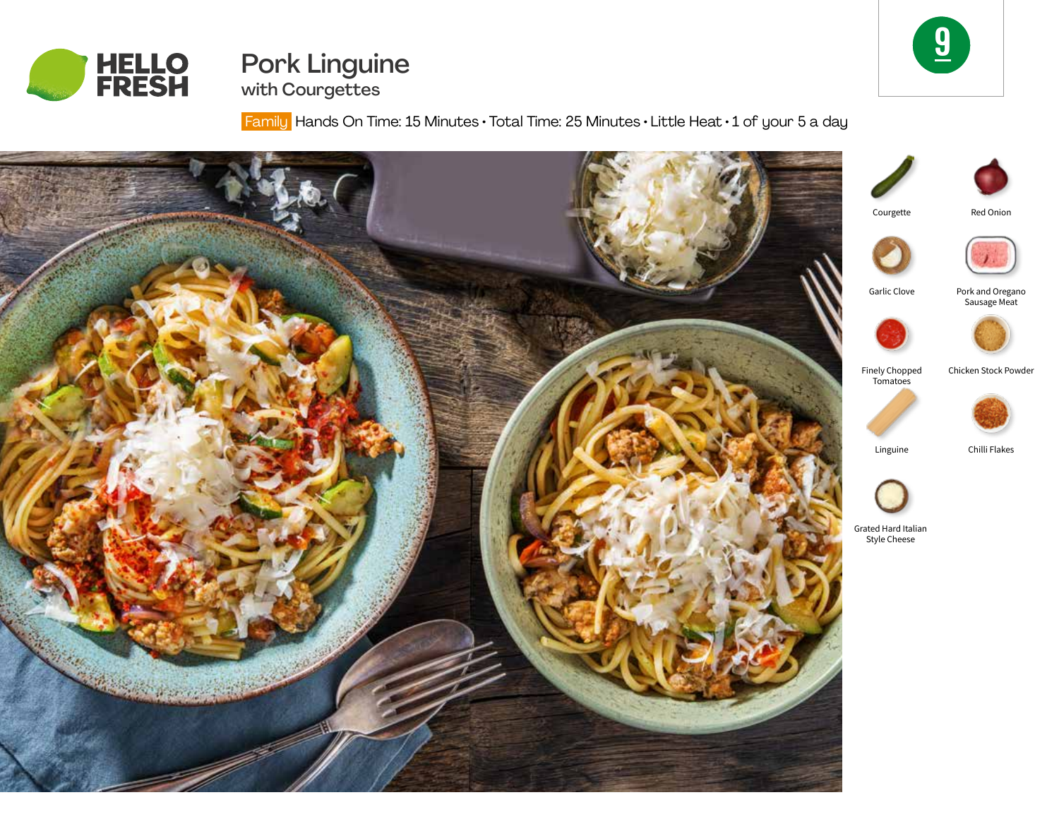



Pork Linguine with Courgettes

Family Hands On Time: 15 Minutes • Total Time: 25 Minutes • Little Heat • 1 of your 5 a day